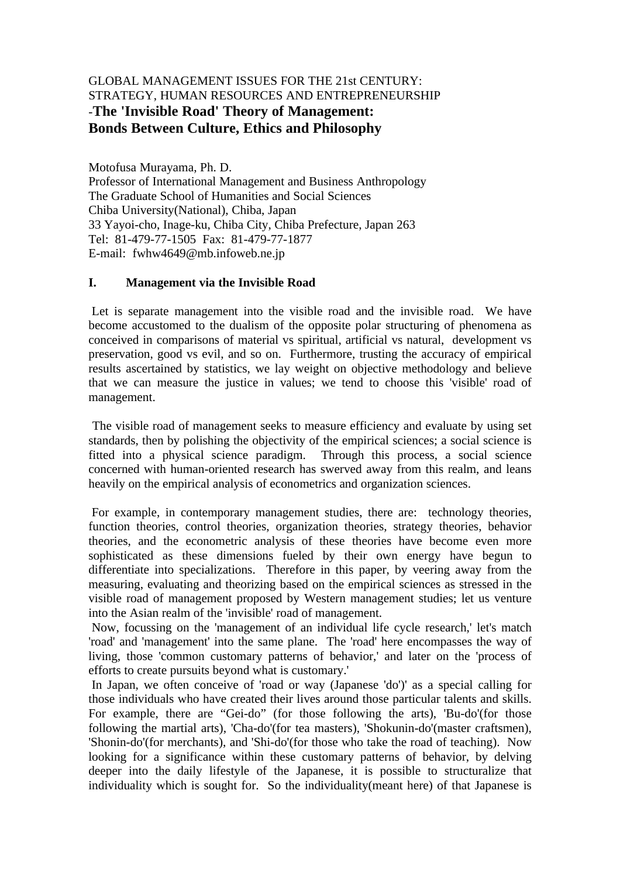# GLOBAL MANAGEMENT ISSUES FOR THE 21st CENTURY: STRATEGY, HUMAN RESOURCES AND ENTREPRENEURSHIP -**The 'Invisible Road' Theory of Management: Bonds Between Culture, Ethics and Philosophy**

Motofusa Murayama, Ph. D. Professor of International Management and Business Anthropology The Graduate School of Humanities and Social Sciences Chiba University(National), Chiba, Japan 33 Yayoi-cho, Inage-ku, Chiba City, Chiba Prefecture, Japan 263 Tel: 81-479-77-1505 Fax: 81-479-77-1877 E-mail: fwhw4649@mb.infoweb.ne.jp

#### **I. Management via the Invisible Road**

 Let is separate management into the visible road and the invisible road. We have become accustomed to the dualism of the opposite polar structuring of phenomena as conceived in comparisons of material vs spiritual, artificial vs natural, development vs preservation, good vs evil, and so on. Furthermore, trusting the accuracy of empirical results ascertained by statistics, we lay weight on objective methodology and believe that we can measure the justice in values; we tend to choose this 'visible' road of management.

 The visible road of management seeks to measure efficiency and evaluate by using set standards, then by polishing the objectivity of the empirical sciences; a social science is fitted into a physical science paradigm. Through this process, a social science concerned with human-oriented research has swerved away from this realm, and leans heavily on the empirical analysis of econometrics and organization sciences.

 For example, in contemporary management studies, there are: technology theories, function theories, control theories, organization theories, strategy theories, behavior theories, and the econometric analysis of these theories have become even more sophisticated as these dimensions fueled by their own energy have begun to differentiate into specializations. Therefore in this paper, by veering away from the measuring, evaluating and theorizing based on the empirical sciences as stressed in the visible road of management proposed by Western management studies; let us venture into the Asian realm of the 'invisible' road of management.

 Now, focussing on the 'management of an individual life cycle research,' let's match 'road' and 'management' into the same plane. The 'road' here encompasses the way of living, those 'common customary patterns of behavior,' and later on the 'process of efforts to create pursuits beyond what is customary.'

 In Japan, we often conceive of 'road or way (Japanese 'do')' as a special calling for those individuals who have created their lives around those particular talents and skills. For example, there are "Gei-do" (for those following the arts), 'Bu-do'(for those following the martial arts), 'Cha-do'(for tea masters), 'Shokunin-do'(master craftsmen), 'Shonin-do'(for merchants), and 'Shi-do'(for those who take the road of teaching). Now looking for a significance within these customary patterns of behavior, by delving deeper into the daily lifestyle of the Japanese, it is possible to structuralize that individuality which is sought for. So the individuality(meant here) of that Japanese is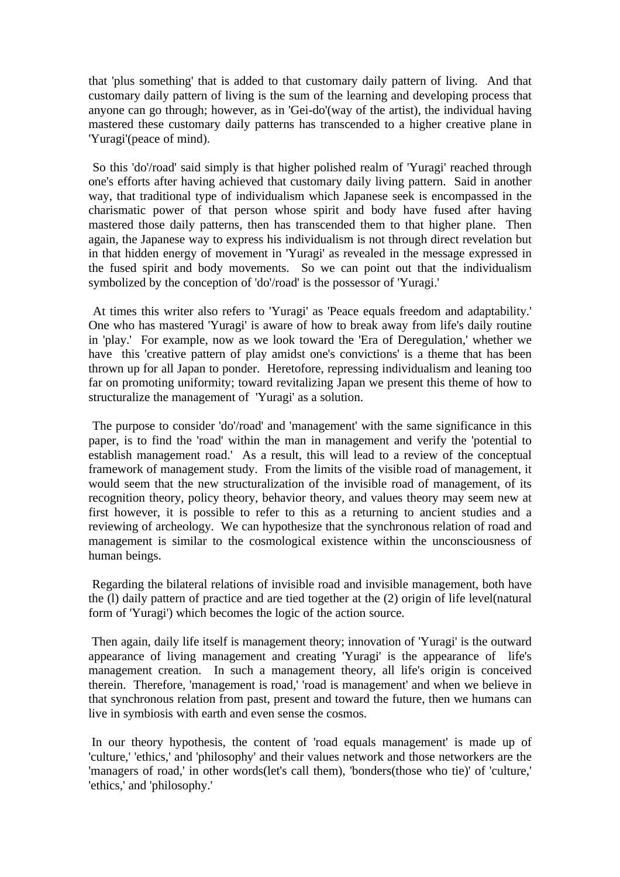that 'plus something' that is added to that customary daily pattern of living. And that customary daily pattern of living is the sum of the learning and developing process that anyone can go through; however, as in 'Gei-do'(way of the artist), the individual having mastered these customary daily patterns has transcended to a higher creative plane in 'Yuragi'(peace of mind).

 So this 'do'/road' said simply is that higher polished realm of 'Yuragi' reached through one's efforts after having achieved that customary daily living pattern. Said in another way, that traditional type of individualism which Japanese seek is encompassed in the charismatic power of that person whose spirit and body have fused after having mastered those daily patterns, then has transcended them to that higher plane. Then again, the Japanese way to express his individualism is not through direct revelation but in that hidden energy of movement in 'Yuragi' as revealed in the message expressed in the fused spirit and body movements. So we can point out that the individualism symbolized by the conception of 'do'/road' is the possessor of 'Yuragi.'

 At times this writer also refers to 'Yuragi' as 'Peace equals freedom and adaptability.' One who has mastered 'Yuragi' is aware of how to break away from life's daily routine in 'play.' For example, now as we look toward the 'Era of Deregulation,' whether we have this 'creative pattern of play amidst one's convictions' is a theme that has been thrown up for all Japan to ponder. Heretofore, repressing individualism and leaning too far on promoting uniformity; toward revitalizing Japan we present this theme of how to structuralize the management of 'Yuragi' as a solution.

 The purpose to consider 'do'/road' and 'management' with the same significance in this paper, is to find the 'road' within the man in management and verify the 'potential to establish management road.' As a result, this will lead to a review of the conceptual framework of management study. From the limits of the visible road of management, it would seem that the new structuralization of the invisible road of management, of its recognition theory, policy theory, behavior theory, and values theory may seem new at first however, it is possible to refer to this as a returning to ancient studies and a reviewing of archeology. We can hypothesize that the synchronous relation of road and management is similar to the cosmological existence within the unconsciousness of human beings.

 Regarding the bilateral relations of invisible road and invisible management, both have the (l) daily pattern of practice and are tied together at the (2) origin of life level(natural form of 'Yuragi') which becomes the logic of the action source.

 Then again, daily life itself is management theory; innovation of 'Yuragi' is the outward appearance of living management and creating 'Yuragi' is the appearance of life's management creation. In such a management theory, all life's origin is conceived therein. Therefore, 'management is road,' 'road is management' and when we believe in that synchronous relation from past, present and toward the future, then we humans can live in symbiosis with earth and even sense the cosmos.

 In our theory hypothesis, the content of 'road equals management' is made up of 'culture,' 'ethics,' and 'philosophy' and their values network and those networkers are the 'managers of road,' in other words(let's call them), 'bonders(those who tie)' of 'culture,' 'ethics,' and 'philosophy.'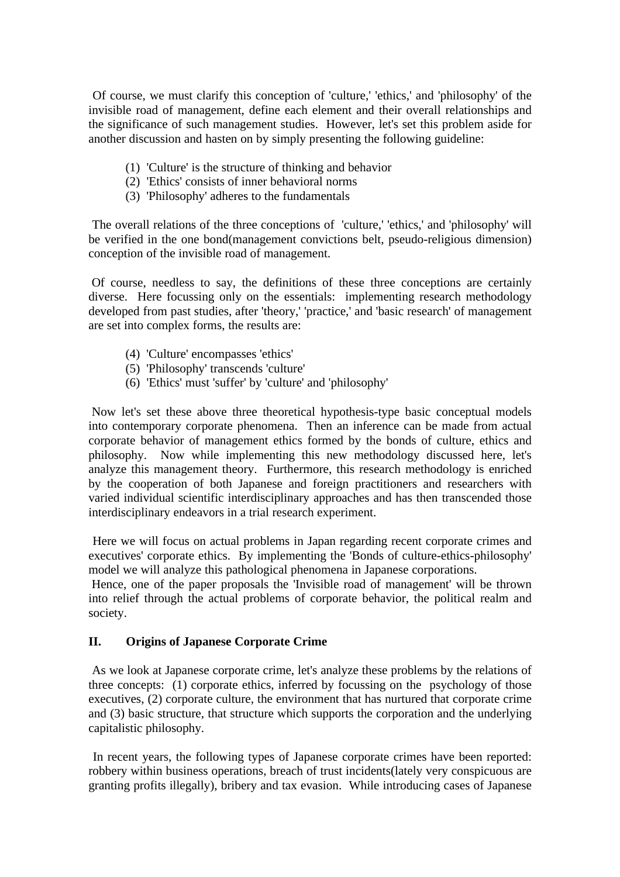Of course, we must clarify this conception of 'culture,' 'ethics,' and 'philosophy' of the invisible road of management, define each element and their overall relationships and the significance of such management studies. However, let's set this problem aside for another discussion and hasten on by simply presenting the following guideline:

- (1) 'Culture' is the structure of thinking and behavior
- (2) 'Ethics' consists of inner behavioral norms
- (3) 'Philosophy' adheres to the fundamentals

 The overall relations of the three conceptions of 'culture,' 'ethics,' and 'philosophy' will be verified in the one bond(management convictions belt, pseudo-religious dimension) conception of the invisible road of management.

 Of course, needless to say, the definitions of these three conceptions are certainly diverse. Here focussing only on the essentials: implementing research methodology developed from past studies, after 'theory,' 'practice,' and 'basic research' of management are set into complex forms, the results are:

- (4) 'Culture' encompasses 'ethics'
- (5) 'Philosophy' transcends 'culture'
- (6) 'Ethics' must 'suffer' by 'culture' and 'philosophy'

 Now let's set these above three theoretical hypothesis-type basic conceptual models into contemporary corporate phenomena. Then an inference can be made from actual corporate behavior of management ethics formed by the bonds of culture, ethics and philosophy. Now while implementing this new methodology discussed here, let's analyze this management theory. Furthermore, this research methodology is enriched by the cooperation of both Japanese and foreign practitioners and researchers with varied individual scientific interdisciplinary approaches and has then transcended those interdisciplinary endeavors in a trial research experiment.

 Here we will focus on actual problems in Japan regarding recent corporate crimes and executives' corporate ethics. By implementing the 'Bonds of culture-ethics-philosophy' model we will analyze this pathological phenomena in Japanese corporations.

 Hence, one of the paper proposals the 'Invisible road of management' will be thrown into relief through the actual problems of corporate behavior, the political realm and society.

## **II. Origins of Japanese Corporate Crime**

 As we look at Japanese corporate crime, let's analyze these problems by the relations of three concepts: (1) corporate ethics, inferred by focussing on the psychology of those executives, (2) corporate culture, the environment that has nurtured that corporate crime and (3) basic structure, that structure which supports the corporation and the underlying capitalistic philosophy.

 In recent years, the following types of Japanese corporate crimes have been reported: robbery within business operations, breach of trust incidents(lately very conspicuous are granting profits illegally), bribery and tax evasion. While introducing cases of Japanese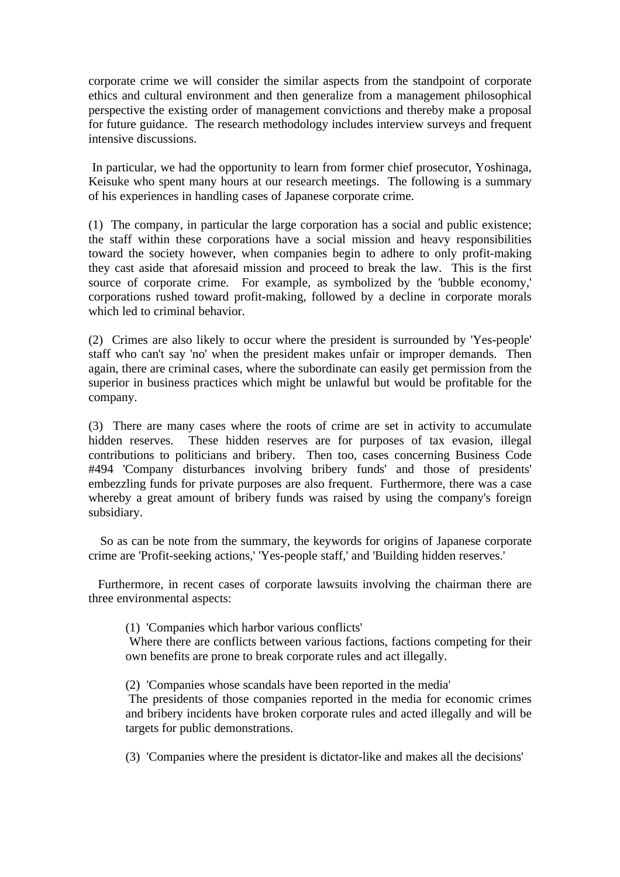corporate crime we will consider the similar aspects from the standpoint of corporate ethics and cultural environment and then generalize from a management philosophical perspective the existing order of management convictions and thereby make a proposal for future guidance. The research methodology includes interview surveys and frequent intensive discussions.

 In particular, we had the opportunity to learn from former chief prosecutor, Yoshinaga, Keisuke who spent many hours at our research meetings. The following is a summary of his experiences in handling cases of Japanese corporate crime.

(1) The company, in particular the large corporation has a social and public existence; the staff within these corporations have a social mission and heavy responsibilities toward the society however, when companies begin to adhere to only profit-making they cast aside that aforesaid mission and proceed to break the law. This is the first source of corporate crime. For example, as symbolized by the 'bubble economy,' corporations rushed toward profit-making, followed by a decline in corporate morals which led to criminal behavior.

(2) Crimes are also likely to occur where the president is surrounded by 'Yes-people' staff who can't say 'no' when the president makes unfair or improper demands. Then again, there are criminal cases, where the subordinate can easily get permission from the superior in business practices which might be unlawful but would be profitable for the company.

(3) There are many cases where the roots of crime are set in activity to accumulate hidden reserves. These hidden reserves are for purposes of tax evasion, illegal contributions to politicians and bribery. Then too, cases concerning Business Code #494 'Company disturbances involving bribery funds' and those of presidents' embezzling funds for private purposes are also frequent. Furthermore, there was a case whereby a great amount of bribery funds was raised by using the company's foreign subsidiary.

 So as can be note from the summary, the keywords for origins of Japanese corporate crime are 'Profit-seeking actions,' 'Yes-people staff,' and 'Building hidden reserves.'

 Furthermore, in recent cases of corporate lawsuits involving the chairman there are three environmental aspects:

(1) 'Companies which harbor various conflicts'

 Where there are conflicts between various factions, factions competing for their own benefits are prone to break corporate rules and act illegally.

(2) 'Companies whose scandals have been reported in the media'

 The presidents of those companies reported in the media for economic crimes and bribery incidents have broken corporate rules and acted illegally and will be targets for public demonstrations.

(3) 'Companies where the president is dictator-like and makes all the decisions'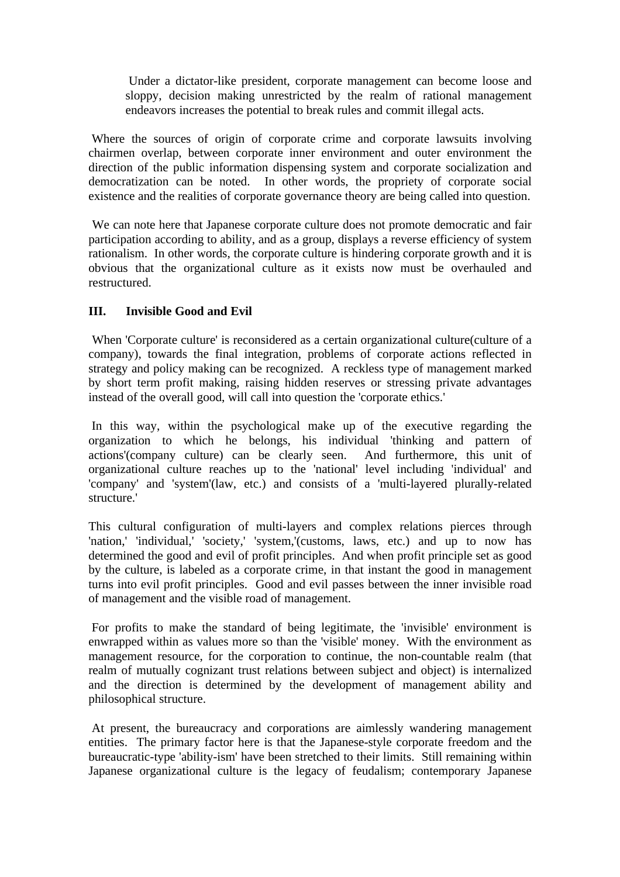Under a dictator-like president, corporate management can become loose and sloppy, decision making unrestricted by the realm of rational management endeavors increases the potential to break rules and commit illegal acts.

 Where the sources of origin of corporate crime and corporate lawsuits involving chairmen overlap, between corporate inner environment and outer environment the direction of the public information dispensing system and corporate socialization and democratization can be noted. In other words, the propriety of corporate social existence and the realities of corporate governance theory are being called into question.

 We can note here that Japanese corporate culture does not promote democratic and fair participation according to ability, and as a group, displays a reverse efficiency of system rationalism. In other words, the corporate culture is hindering corporate growth and it is obvious that the organizational culture as it exists now must be overhauled and restructured.

# **III. Invisible Good and Evil**

 When 'Corporate culture' is reconsidered as a certain organizational culture(culture of a company), towards the final integration, problems of corporate actions reflected in strategy and policy making can be recognized. A reckless type of management marked by short term profit making, raising hidden reserves or stressing private advantages instead of the overall good, will call into question the 'corporate ethics.'

 In this way, within the psychological make up of the executive regarding the organization to which he belongs, his individual 'thinking and pattern of actions'(company culture) can be clearly seen. And furthermore, this unit of organizational culture reaches up to the 'national' level including 'individual' and 'company' and 'system'(law, etc.) and consists of a 'multi-layered plurally-related structure.'

This cultural configuration of multi-layers and complex relations pierces through 'nation,' 'individual,' 'society,' 'system,'(customs, laws, etc.) and up to now has determined the good and evil of profit principles. And when profit principle set as good by the culture, is labeled as a corporate crime, in that instant the good in management turns into evil profit principles. Good and evil passes between the inner invisible road of management and the visible road of management.

 For profits to make the standard of being legitimate, the 'invisible' environment is enwrapped within as values more so than the 'visible' money. With the environment as management resource, for the corporation to continue, the non-countable realm (that realm of mutually cognizant trust relations between subject and object) is internalized and the direction is determined by the development of management ability and philosophical structure.

 At present, the bureaucracy and corporations are aimlessly wandering management entities. The primary factor here is that the Japanese-style corporate freedom and the bureaucratic-type 'ability-ism' have been stretched to their limits. Still remaining within Japanese organizational culture is the legacy of feudalism; contemporary Japanese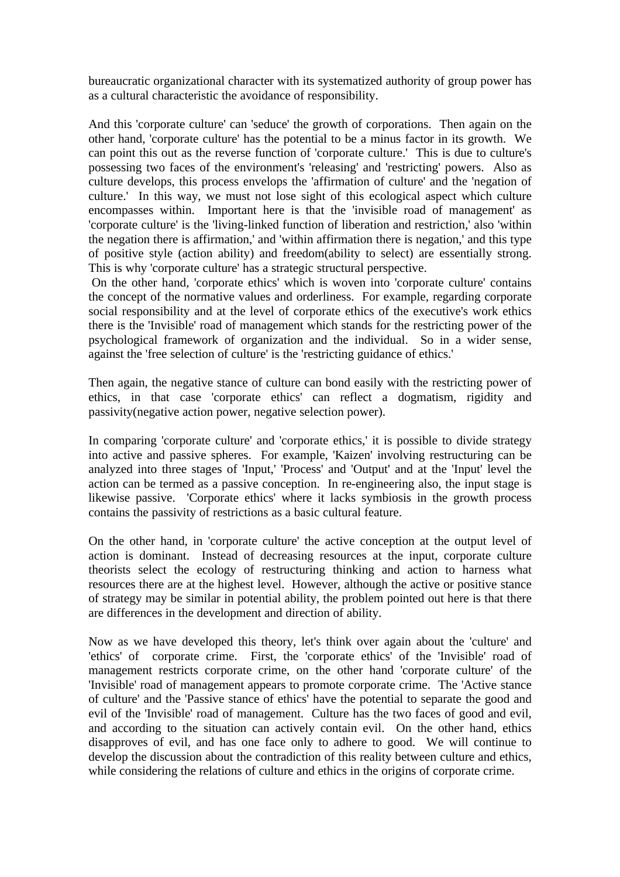bureaucratic organizational character with its systematized authority of group power has as a cultural characteristic the avoidance of responsibility.

And this 'corporate culture' can 'seduce' the growth of corporations. Then again on the other hand, 'corporate culture' has the potential to be a minus factor in its growth. We can point this out as the reverse function of 'corporate culture.' This is due to culture's possessing two faces of the environment's 'releasing' and 'restricting' powers. Also as culture develops, this process envelops the 'affirmation of culture' and the 'negation of culture.' In this way, we must not lose sight of this ecological aspect which culture encompasses within. Important here is that the 'invisible road of management' as 'corporate culture' is the 'living-linked function of liberation and restriction,' also 'within the negation there is affirmation,' and 'within affirmation there is negation,' and this type of positive style (action ability) and freedom(ability to select) are essentially strong. This is why 'corporate culture' has a strategic structural perspective.

 On the other hand, 'corporate ethics' which is woven into 'corporate culture' contains the concept of the normative values and orderliness. For example, regarding corporate social responsibility and at the level of corporate ethics of the executive's work ethics there is the 'Invisible' road of management which stands for the restricting power of the psychological framework of organization and the individual. So in a wider sense, against the 'free selection of culture' is the 'restricting guidance of ethics.'

Then again, the negative stance of culture can bond easily with the restricting power of ethics, in that case 'corporate ethics' can reflect a dogmatism, rigidity and passivity(negative action power, negative selection power).

In comparing 'corporate culture' and 'corporate ethics,' it is possible to divide strategy into active and passive spheres. For example, 'Kaizen' involving restructuring can be analyzed into three stages of 'Input,' 'Process' and 'Output' and at the 'Input' level the action can be termed as a passive conception. In re-engineering also, the input stage is likewise passive. 'Corporate ethics' where it lacks symbiosis in the growth process contains the passivity of restrictions as a basic cultural feature.

On the other hand, in 'corporate culture' the active conception at the output level of action is dominant. Instead of decreasing resources at the input, corporate culture theorists select the ecology of restructuring thinking and action to harness what resources there are at the highest level. However, although the active or positive stance of strategy may be similar in potential ability, the problem pointed out here is that there are differences in the development and direction of ability.

Now as we have developed this theory, let's think over again about the 'culture' and 'ethics' of corporate crime. First, the 'corporate ethics' of the 'Invisible' road of management restricts corporate crime, on the other hand 'corporate culture' of the 'Invisible' road of management appears to promote corporate crime. The 'Active stance of culture' and the 'Passive stance of ethics' have the potential to separate the good and evil of the 'Invisible' road of management. Culture has the two faces of good and evil, and according to the situation can actively contain evil. On the other hand, ethics disapproves of evil, and has one face only to adhere to good. We will continue to develop the discussion about the contradiction of this reality between culture and ethics, while considering the relations of culture and ethics in the origins of corporate crime.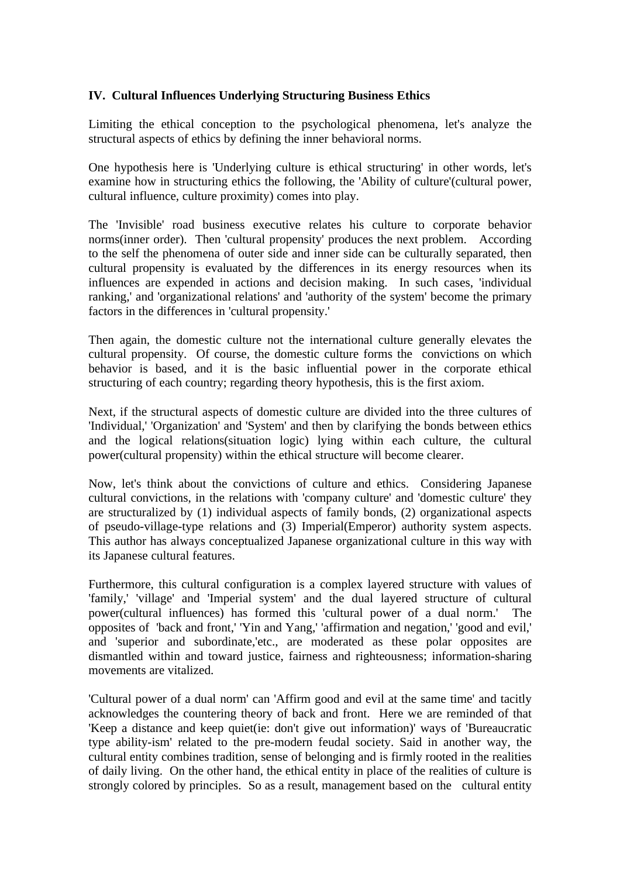#### **IV. Cultural Influences Underlying Structuring Business Ethics**

Limiting the ethical conception to the psychological phenomena, let's analyze the structural aspects of ethics by defining the inner behavioral norms.

One hypothesis here is 'Underlying culture is ethical structuring' in other words, let's examine how in structuring ethics the following, the 'Ability of culture'(cultural power, cultural influence, culture proximity) comes into play.

The 'Invisible' road business executive relates his culture to corporate behavior norms(inner order). Then 'cultural propensity' produces the next problem. According to the self the phenomena of outer side and inner side can be culturally separated, then cultural propensity is evaluated by the differences in its energy resources when its influences are expended in actions and decision making. In such cases, 'individual ranking,' and 'organizational relations' and 'authority of the system' become the primary factors in the differences in 'cultural propensity.'

Then again, the domestic culture not the international culture generally elevates the cultural propensity. Of course, the domestic culture forms the convictions on which behavior is based, and it is the basic influential power in the corporate ethical structuring of each country; regarding theory hypothesis, this is the first axiom.

Next, if the structural aspects of domestic culture are divided into the three cultures of 'Individual,' 'Organization' and 'System' and then by clarifying the bonds between ethics and the logical relations(situation logic) lying within each culture, the cultural power(cultural propensity) within the ethical structure will become clearer.

Now, let's think about the convictions of culture and ethics. Considering Japanese cultural convictions, in the relations with 'company culture' and 'domestic culture' they are structuralized by (1) individual aspects of family bonds, (2) organizational aspects of pseudo-village-type relations and (3) Imperial(Emperor) authority system aspects. This author has always conceptualized Japanese organizational culture in this way with its Japanese cultural features.

Furthermore, this cultural configuration is a complex layered structure with values of 'family,' 'village' and 'Imperial system' and the dual layered structure of cultural power(cultural influences) has formed this 'cultural power of a dual norm.' The opposites of 'back and front,' 'Yin and Yang,' 'affirmation and negation,' 'good and evil,' and 'superior and subordinate,'etc., are moderated as these polar opposites are dismantled within and toward justice, fairness and righteousness; information-sharing movements are vitalized.

'Cultural power of a dual norm' can 'Affirm good and evil at the same time' and tacitly acknowledges the countering theory of back and front. Here we are reminded of that 'Keep a distance and keep quiet(ie: don't give out information)' ways of 'Bureaucratic type ability-ism' related to the pre-modern feudal society. Said in another way, the cultural entity combines tradition, sense of belonging and is firmly rooted in the realities of daily living. On the other hand, the ethical entity in place of the realities of culture is strongly colored by principles. So as a result, management based on the cultural entity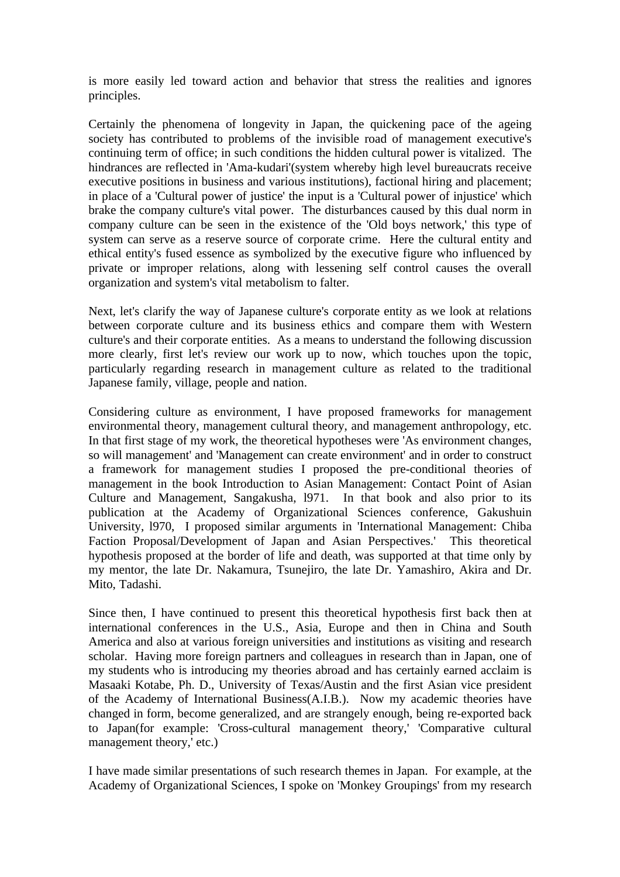is more easily led toward action and behavior that stress the realities and ignores principles.

Certainly the phenomena of longevity in Japan, the quickening pace of the ageing society has contributed to problems of the invisible road of management executive's continuing term of office; in such conditions the hidden cultural power is vitalized. The hindrances are reflected in 'Ama-kudari'(system whereby high level bureaucrats receive executive positions in business and various institutions), factional hiring and placement; in place of a 'Cultural power of justice' the input is a 'Cultural power of injustice' which brake the company culture's vital power. The disturbances caused by this dual norm in company culture can be seen in the existence of the 'Old boys network,' this type of system can serve as a reserve source of corporate crime. Here the cultural entity and ethical entity's fused essence as symbolized by the executive figure who influenced by private or improper relations, along with lessening self control causes the overall organization and system's vital metabolism to falter.

Next, let's clarify the way of Japanese culture's corporate entity as we look at relations between corporate culture and its business ethics and compare them with Western culture's and their corporate entities. As a means to understand the following discussion more clearly, first let's review our work up to now, which touches upon the topic, particularly regarding research in management culture as related to the traditional Japanese family, village, people and nation.

Considering culture as environment, I have proposed frameworks for management environmental theory, management cultural theory, and management anthropology, etc. In that first stage of my work, the theoretical hypotheses were 'As environment changes, so will management' and 'Management can create environment' and in order to construct a framework for management studies I proposed the pre-conditional theories of management in the book Introduction to Asian Management: Contact Point of Asian Culture and Management, Sangakusha, l971. In that book and also prior to its publication at the Academy of Organizational Sciences conference, Gakushuin University, l970, I proposed similar arguments in 'International Management: Chiba Faction Proposal/Development of Japan and Asian Perspectives.' This theoretical hypothesis proposed at the border of life and death, was supported at that time only by my mentor, the late Dr. Nakamura, Tsunejiro, the late Dr. Yamashiro, Akira and Dr. Mito, Tadashi.

Since then, I have continued to present this theoretical hypothesis first back then at international conferences in the U.S., Asia, Europe and then in China and South America and also at various foreign universities and institutions as visiting and research scholar. Having more foreign partners and colleagues in research than in Japan, one of my students who is introducing my theories abroad and has certainly earned acclaim is Masaaki Kotabe, Ph. D., University of Texas/Austin and the first Asian vice president of the Academy of International Business(A.I.B.). Now my academic theories have changed in form, become generalized, and are strangely enough, being re-exported back to Japan(for example: 'Cross-cultural management theory,' 'Comparative cultural management theory,' etc.)

I have made similar presentations of such research themes in Japan. For example, at the Academy of Organizational Sciences, I spoke on 'Monkey Groupings' from my research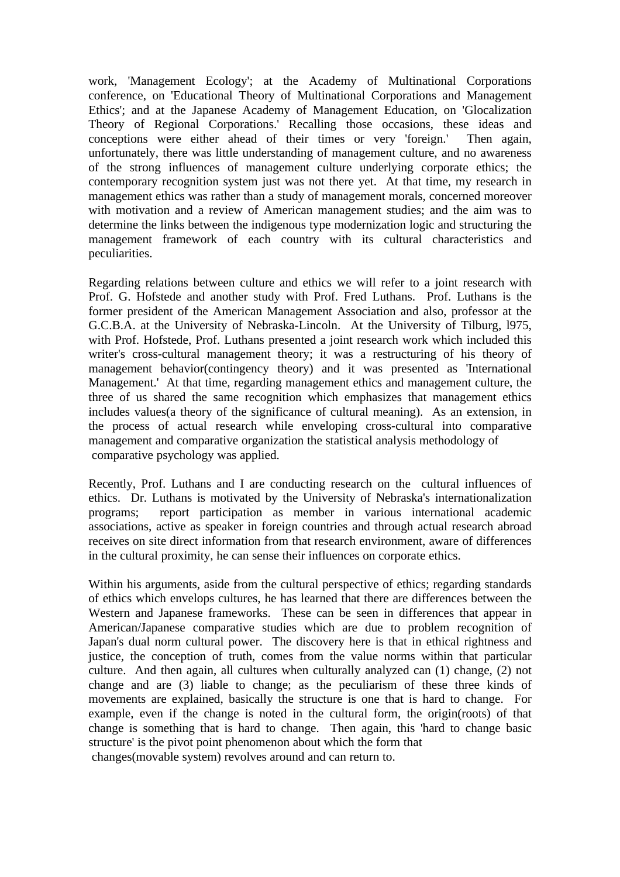work, 'Management Ecology'; at the Academy of Multinational Corporations conference, on 'Educational Theory of Multinational Corporations and Management Ethics'; and at the Japanese Academy of Management Education, on 'Glocalization Theory of Regional Corporations.' Recalling those occasions, these ideas and conceptions were either ahead of their times or very 'foreign.' Then again, unfortunately, there was little understanding of management culture, and no awareness of the strong influences of management culture underlying corporate ethics; the contemporary recognition system just was not there yet. At that time, my research in management ethics was rather than a study of management morals, concerned moreover with motivation and a review of American management studies; and the aim was to determine the links between the indigenous type modernization logic and structuring the management framework of each country with its cultural characteristics and peculiarities.

Regarding relations between culture and ethics we will refer to a joint research with Prof. G. Hofstede and another study with Prof. Fred Luthans. Prof. Luthans is the former president of the American Management Association and also, professor at the G.C.B.A. at the University of Nebraska-Lincoln. At the University of Tilburg, l975, with Prof. Hofstede, Prof. Luthans presented a joint research work which included this writer's cross-cultural management theory; it was a restructuring of his theory of management behavior(contingency theory) and it was presented as 'International Management.' At that time, regarding management ethics and management culture, the three of us shared the same recognition which emphasizes that management ethics includes values(a theory of the significance of cultural meaning). As an extension, in the process of actual research while enveloping cross-cultural into comparative management and comparative organization the statistical analysis methodology of comparative psychology was applied.

Recently, Prof. Luthans and I are conducting research on the cultural influences of ethics. Dr. Luthans is motivated by the University of Nebraska's internationalization programs; report participation as member in various international academic associations, active as speaker in foreign countries and through actual research abroad receives on site direct information from that research environment, aware of differences in the cultural proximity, he can sense their influences on corporate ethics.

Within his arguments, aside from the cultural perspective of ethics; regarding standards of ethics which envelops cultures, he has learned that there are differences between the Western and Japanese frameworks. These can be seen in differences that appear in American/Japanese comparative studies which are due to problem recognition of Japan's dual norm cultural power. The discovery here is that in ethical rightness and justice, the conception of truth, comes from the value norms within that particular culture. And then again, all cultures when culturally analyzed can (1) change, (2) not change and are (3) liable to change; as the peculiarism of these three kinds of movements are explained, basically the structure is one that is hard to change. For example, even if the change is noted in the cultural form, the origin(roots) of that change is something that is hard to change. Then again, this 'hard to change basic structure' is the pivot point phenomenon about which the form that changes(movable system) revolves around and can return to.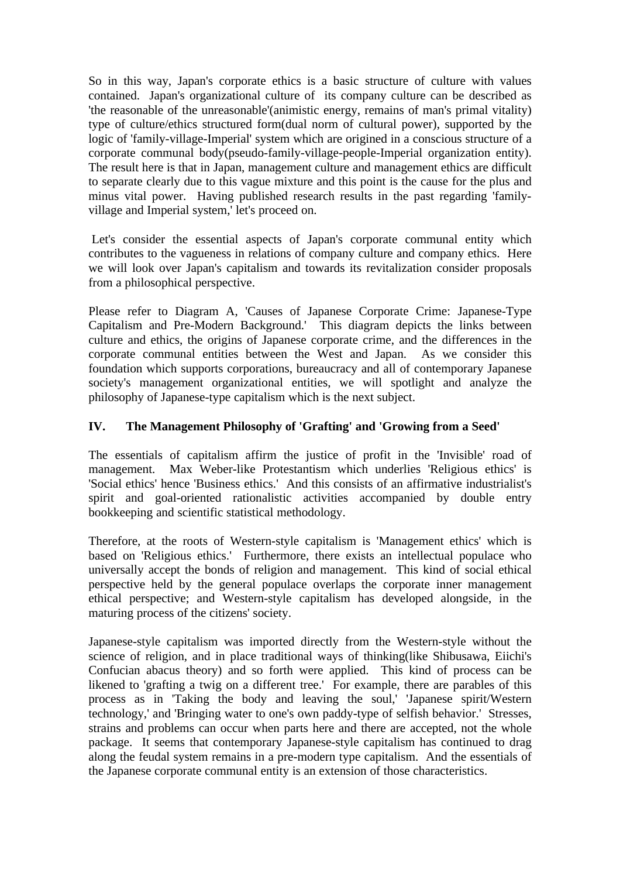So in this way, Japan's corporate ethics is a basic structure of culture with values contained. Japan's organizational culture of its company culture can be described as 'the reasonable of the unreasonable'(animistic energy, remains of man's primal vitality) type of culture/ethics structured form(dual norm of cultural power), supported by the logic of 'family-village-Imperial' system which are origined in a conscious structure of a corporate communal body(pseudo-family-village-people-Imperial organization entity). The result here is that in Japan, management culture and management ethics are difficult to separate clearly due to this vague mixture and this point is the cause for the plus and minus vital power. Having published research results in the past regarding 'familyvillage and Imperial system,' let's proceed on.

 Let's consider the essential aspects of Japan's corporate communal entity which contributes to the vagueness in relations of company culture and company ethics. Here we will look over Japan's capitalism and towards its revitalization consider proposals from a philosophical perspective.

Please refer to Diagram A, 'Causes of Japanese Corporate Crime: Japanese-Type Capitalism and Pre-Modern Background.' This diagram depicts the links between culture and ethics, the origins of Japanese corporate crime, and the differences in the corporate communal entities between the West and Japan. As we consider this foundation which supports corporations, bureaucracy and all of contemporary Japanese society's management organizational entities, we will spotlight and analyze the philosophy of Japanese-type capitalism which is the next subject.

# **IV. The Management Philosophy of 'Grafting' and 'Growing from a Seed'**

The essentials of capitalism affirm the justice of profit in the 'Invisible' road of management. Max Weber-like Protestantism which underlies 'Religious ethics' is 'Social ethics' hence 'Business ethics.' And this consists of an affirmative industrialist's spirit and goal-oriented rationalistic activities accompanied by double entry bookkeeping and scientific statistical methodology.

Therefore, at the roots of Western-style capitalism is 'Management ethics' which is based on 'Religious ethics.' Furthermore, there exists an intellectual populace who universally accept the bonds of religion and management. This kind of social ethical perspective held by the general populace overlaps the corporate inner management ethical perspective; and Western-style capitalism has developed alongside, in the maturing process of the citizens' society.

Japanese-style capitalism was imported directly from the Western-style without the science of religion, and in place traditional ways of thinking(like Shibusawa, Eiichi's Confucian abacus theory) and so forth were applied. This kind of process can be likened to 'grafting a twig on a different tree.' For example, there are parables of this process as in 'Taking the body and leaving the soul,' 'Japanese spirit/Western technology,' and 'Bringing water to one's own paddy-type of selfish behavior.' Stresses, strains and problems can occur when parts here and there are accepted, not the whole package. It seems that contemporary Japanese-style capitalism has continued to drag along the feudal system remains in a pre-modern type capitalism. And the essentials of the Japanese corporate communal entity is an extension of those characteristics.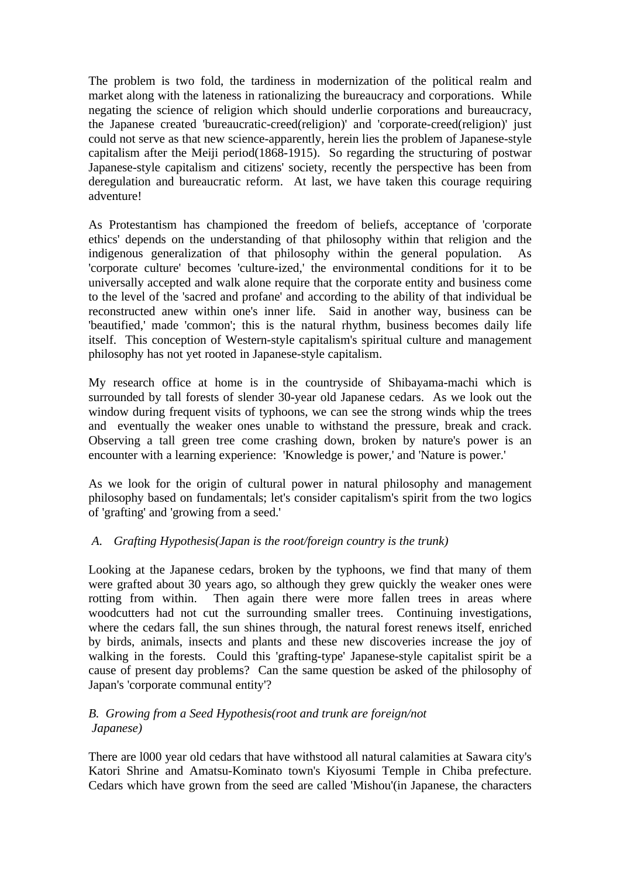The problem is two fold, the tardiness in modernization of the political realm and market along with the lateness in rationalizing the bureaucracy and corporations. While negating the science of religion which should underlie corporations and bureaucracy, the Japanese created 'bureaucratic-creed(religion)' and 'corporate-creed(religion)' just could not serve as that new science-apparently, herein lies the problem of Japanese-style capitalism after the Meiji period(1868-1915). So regarding the structuring of postwar Japanese-style capitalism and citizens' society, recently the perspective has been from deregulation and bureaucratic reform. At last, we have taken this courage requiring adventure!

As Protestantism has championed the freedom of beliefs, acceptance of 'corporate ethics' depends on the understanding of that philosophy within that religion and the indigenous generalization of that philosophy within the general population. As 'corporate culture' becomes 'culture-ized,' the environmental conditions for it to be universally accepted and walk alone require that the corporate entity and business come to the level of the 'sacred and profane' and according to the ability of that individual be reconstructed anew within one's inner life. Said in another way, business can be 'beautified,' made 'common'; this is the natural rhythm, business becomes daily life itself. This conception of Western-style capitalism's spiritual culture and management philosophy has not yet rooted in Japanese-style capitalism.

My research office at home is in the countryside of Shibayama-machi which is surrounded by tall forests of slender 30-year old Japanese cedars. As we look out the window during frequent visits of typhoons, we can see the strong winds whip the trees and eventually the weaker ones unable to withstand the pressure, break and crack. Observing a tall green tree come crashing down, broken by nature's power is an encounter with a learning experience: 'Knowledge is power,' and 'Nature is power.'

As we look for the origin of cultural power in natural philosophy and management philosophy based on fundamentals; let's consider capitalism's spirit from the two logics of 'grafting' and 'growing from a seed.'

## *A. Grafting Hypothesis(Japan is the root/foreign country is the trunk)*

Looking at the Japanese cedars, broken by the typhoons, we find that many of them were grafted about 30 years ago, so although they grew quickly the weaker ones were rotting from within. Then again there were more fallen trees in areas where woodcutters had not cut the surrounding smaller trees. Continuing investigations, where the cedars fall, the sun shines through, the natural forest renews itself, enriched by birds, animals, insects and plants and these new discoveries increase the joy of walking in the forests. Could this 'grafting-type' Japanese-style capitalist spirit be a cause of present day problems? Can the same question be asked of the philosophy of Japan's 'corporate communal entity'?

#### *B. Growing from a Seed Hypothesis(root and trunk are foreign/not Japanese)*

There are l000 year old cedars that have withstood all natural calamities at Sawara city's Katori Shrine and Amatsu-Kominato town's Kiyosumi Temple in Chiba prefecture. Cedars which have grown from the seed are called 'Mishou'(in Japanese, the characters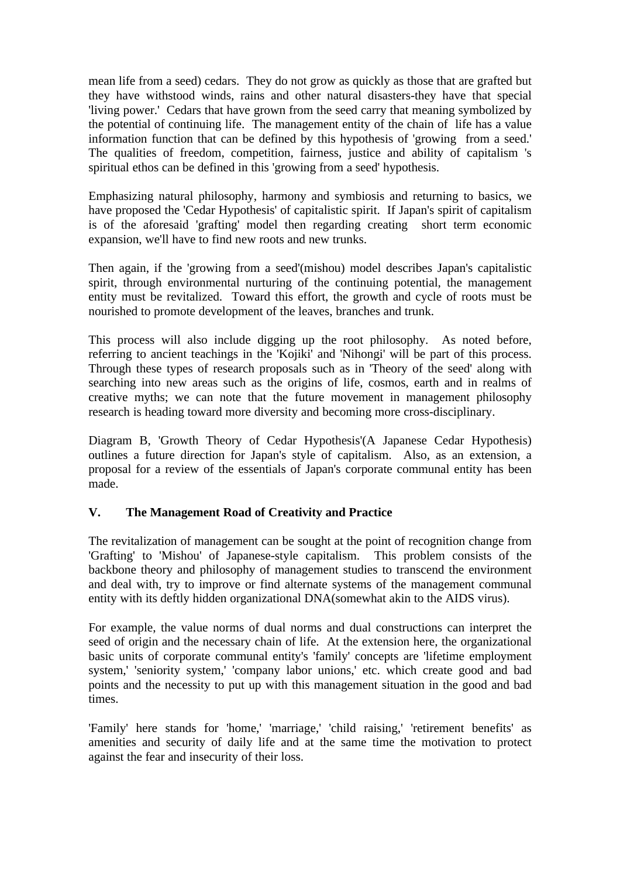mean life from a seed) cedars. They do not grow as quickly as those that are grafted but they have withstood winds, rains and other natural disasters-they have that special 'living power.' Cedars that have grown from the seed carry that meaning symbolized by the potential of continuing life. The management entity of the chain of life has a value information function that can be defined by this hypothesis of 'growing from a seed.' The qualities of freedom, competition, fairness, justice and ability of capitalism 's spiritual ethos can be defined in this 'growing from a seed' hypothesis.

Emphasizing natural philosophy, harmony and symbiosis and returning to basics, we have proposed the 'Cedar Hypothesis' of capitalistic spirit. If Japan's spirit of capitalism is of the aforesaid 'grafting' model then regarding creating short term economic expansion, we'll have to find new roots and new trunks.

Then again, if the 'growing from a seed'(mishou) model describes Japan's capitalistic spirit, through environmental nurturing of the continuing potential, the management entity must be revitalized. Toward this effort, the growth and cycle of roots must be nourished to promote development of the leaves, branches and trunk.

This process will also include digging up the root philosophy. As noted before, referring to ancient teachings in the 'Kojiki' and 'Nihongi' will be part of this process. Through these types of research proposals such as in 'Theory of the seed' along with searching into new areas such as the origins of life, cosmos, earth and in realms of creative myths; we can note that the future movement in management philosophy research is heading toward more diversity and becoming more cross-disciplinary.

Diagram B, 'Growth Theory of Cedar Hypothesis'(A Japanese Cedar Hypothesis) outlines a future direction for Japan's style of capitalism. Also, as an extension, a proposal for a review of the essentials of Japan's corporate communal entity has been made.

## **V. The Management Road of Creativity and Practice**

The revitalization of management can be sought at the point of recognition change from 'Grafting' to 'Mishou' of Japanese-style capitalism. This problem consists of the backbone theory and philosophy of management studies to transcend the environment and deal with, try to improve or find alternate systems of the management communal entity with its deftly hidden organizational DNA(somewhat akin to the AIDS virus).

For example, the value norms of dual norms and dual constructions can interpret the seed of origin and the necessary chain of life. At the extension here, the organizational basic units of corporate communal entity's 'family' concepts are 'lifetime employment system,' 'seniority system,' 'company labor unions,' etc. which create good and bad points and the necessity to put up with this management situation in the good and bad times.

'Family' here stands for 'home,' 'marriage,' 'child raising,' 'retirement benefits' as amenities and security of daily life and at the same time the motivation to protect against the fear and insecurity of their loss.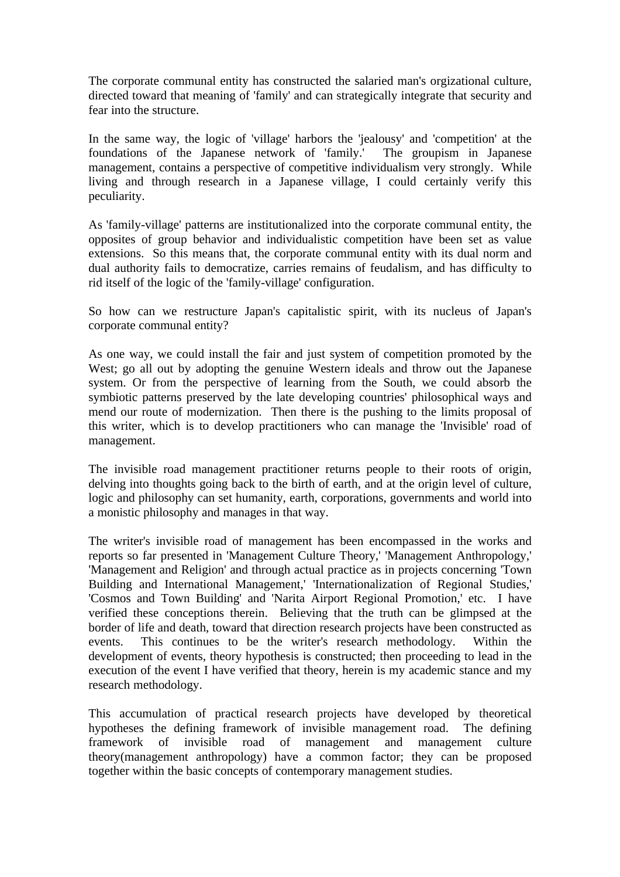The corporate communal entity has constructed the salaried man's orgizational culture, directed toward that meaning of 'family' and can strategically integrate that security and fear into the structure.

In the same way, the logic of 'village' harbors the 'jealousy' and 'competition' at the foundations of the Japanese network of 'family.' The groupism in Japanese management, contains a perspective of competitive individualism very strongly. While living and through research in a Japanese village, I could certainly verify this peculiarity.

As 'family-village' patterns are institutionalized into the corporate communal entity, the opposites of group behavior and individualistic competition have been set as value extensions. So this means that, the corporate communal entity with its dual norm and dual authority fails to democratize, carries remains of feudalism, and has difficulty to rid itself of the logic of the 'family-village' configuration.

So how can we restructure Japan's capitalistic spirit, with its nucleus of Japan's corporate communal entity?

As one way, we could install the fair and just system of competition promoted by the West; go all out by adopting the genuine Western ideals and throw out the Japanese system. Or from the perspective of learning from the South, we could absorb the symbiotic patterns preserved by the late developing countries' philosophical ways and mend our route of modernization. Then there is the pushing to the limits proposal of this writer, which is to develop practitioners who can manage the 'Invisible' road of management.

The invisible road management practitioner returns people to their roots of origin, delving into thoughts going back to the birth of earth, and at the origin level of culture, logic and philosophy can set humanity, earth, corporations, governments and world into a monistic philosophy and manages in that way.

The writer's invisible road of management has been encompassed in the works and reports so far presented in 'Management Culture Theory,' 'Management Anthropology,' 'Management and Religion' and through actual practice as in projects concerning 'Town Building and International Management,' 'Internationalization of Regional Studies,' 'Cosmos and Town Building' and 'Narita Airport Regional Promotion,' etc. I have verified these conceptions therein. Believing that the truth can be glimpsed at the border of life and death, toward that direction research projects have been constructed as events. This continues to be the writer's research methodology. Within the development of events, theory hypothesis is constructed; then proceeding to lead in the execution of the event I have verified that theory, herein is my academic stance and my research methodology.

This accumulation of practical research projects have developed by theoretical hypotheses the defining framework of invisible management road. The defining framework of invisible road of management and management culture theory(management anthropology) have a common factor; they can be proposed together within the basic concepts of contemporary management studies.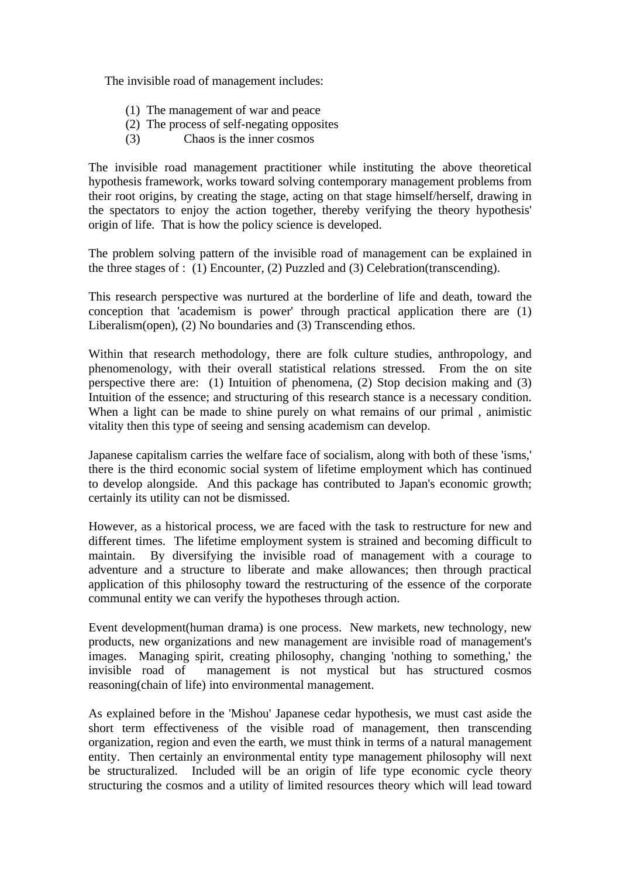The invisible road of management includes:

- (1) The management of war and peace
- (2) The process of self-negating opposites
- (3) Chaos is the inner cosmos

The invisible road management practitioner while instituting the above theoretical hypothesis framework, works toward solving contemporary management problems from their root origins, by creating the stage, acting on that stage himself/herself, drawing in the spectators to enjoy the action together, thereby verifying the theory hypothesis' origin of life. That is how the policy science is developed.

The problem solving pattern of the invisible road of management can be explained in the three stages of : (1) Encounter, (2) Puzzled and (3) Celebration(transcending).

This research perspective was nurtured at the borderline of life and death, toward the conception that 'academism is power' through practical application there are (1) Liberalism(open), (2) No boundaries and (3) Transcending ethos.

Within that research methodology, there are folk culture studies, anthropology, and phenomenology, with their overall statistical relations stressed. From the on site perspective there are: (1) Intuition of phenomena, (2) Stop decision making and (3) Intuition of the essence; and structuring of this research stance is a necessary condition. When a light can be made to shine purely on what remains of our primal , animistic vitality then this type of seeing and sensing academism can develop.

Japanese capitalism carries the welfare face of socialism, along with both of these 'isms,' there is the third economic social system of lifetime employment which has continued to develop alongside. And this package has contributed to Japan's economic growth; certainly its utility can not be dismissed.

However, as a historical process, we are faced with the task to restructure for new and different times. The lifetime employment system is strained and becoming difficult to maintain. By diversifying the invisible road of management with a courage to adventure and a structure to liberate and make allowances; then through practical application of this philosophy toward the restructuring of the essence of the corporate communal entity we can verify the hypotheses through action.

Event development(human drama) is one process. New markets, new technology, new products, new organizations and new management are invisible road of management's images. Managing spirit, creating philosophy, changing 'nothing to something,' the invisible road of management is not mystical but has structured cosmos reasoning(chain of life) into environmental management.

As explained before in the 'Mishou' Japanese cedar hypothesis, we must cast aside the short term effectiveness of the visible road of management, then transcending organization, region and even the earth, we must think in terms of a natural management entity. Then certainly an environmental entity type management philosophy will next be structuralized. Included will be an origin of life type economic cycle theory structuring the cosmos and a utility of limited resources theory which will lead toward